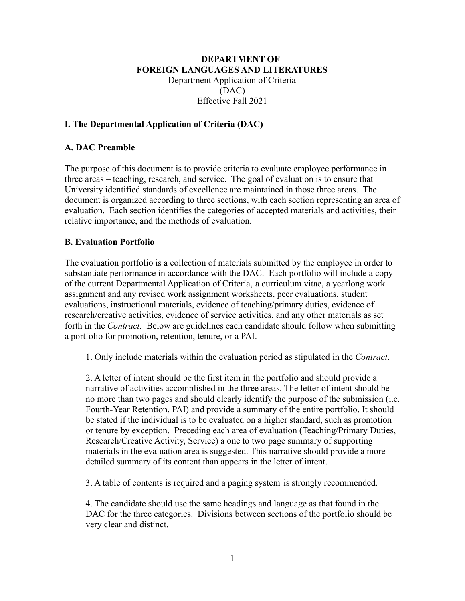# **DEPARTMENT OF FOREIGN LANGUAGES AND LITERATURES** Department Application of Criteria (DAC) Effective Fall 2021

# **I. The Departmental Application of Criteria (DAC)**

### **A. DAC Preamble**

The purpose of this document is to provide criteria to evaluate employee performance in three areas – teaching, research, and service. The goal of evaluation is to ensure that University identified standards of excellence are maintained in those three areas. The document is organized according to three sections, with each section representing an area of evaluation. Each section identifies the categories of accepted materials and activities, their relative importance, and the methods of evaluation.

### **B. Evaluation Portfolio**

The evaluation portfolio is a collection of materials submitted by the employee in order to substantiate performance in accordance with the DAC. Each portfolio will include a copy of the current Departmental Application of Criteria, a curriculum vitae, a yearlong work assignment and any revised work assignment worksheets, peer evaluations, student evaluations, instructional materials, evidence of teaching/primary duties, evidence of research/creative activities, evidence of service activities, and any other materials as set forth in the *Contract.* Below are guidelines each candidate should follow when submitting a portfolio for promotion, retention, tenure, or a PAI.

1. Only include materials within the evaluation period as stipulated in the *Contract*.

2. A letter of intent should be the first item in the portfolio and should provide a narrative of activities accomplished in the three areas. The letter of intent should be no more than two pages and should clearly identify the purpose of the submission (i.e. Fourth-Year Retention, PAI) and provide a summary of the entire portfolio. It should be stated if the individual is to be evaluated on a higher standard, such as promotion or tenure by exception. Preceding each area of evaluation (Teaching/Primary Duties, Research/Creative Activity, Service) a one to two page summary of supporting materials in the evaluation area is suggested. This narrative should provide a more detailed summary of its content than appears in the letter of intent.

3. A table of contents is required and a paging system is strongly recommended.

4. The candidate should use the same headings and language as that found in the DAC for the three categories. Divisions between sections of the portfolio should be very clear and distinct.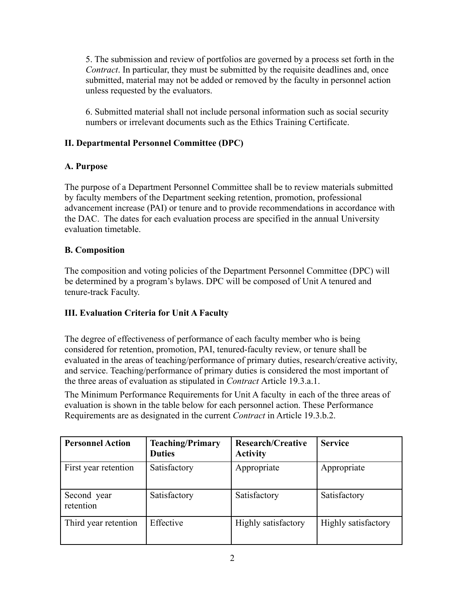5. The submission and review of portfolios are governed by a process set forth in the *Contract*. In particular, they must be submitted by the requisite deadlines and, once submitted, material may not be added or removed by the faculty in personnel action unless requested by the evaluators.

6. Submitted material shall not include personal information such as social security numbers or irrelevant documents such as the Ethics Training Certificate.

# **II. Departmental Personnel Committee (DPC)**

# **A. Purpose**

The purpose of a Department Personnel Committee shall be to review materials submitted by faculty members of the Department seeking retention, promotion, professional advancement increase (PAI) or tenure and to provide recommendations in accordance with the DAC. The dates for each evaluation process are specified in the annual University evaluation timetable.

# **B. Composition**

The composition and voting policies of the Department Personnel Committee (DPC) will be determined by a program's bylaws. DPC will be composed of Unit A tenured and tenure-track Faculty.

# **III. Evaluation Criteria for Unit A Faculty**

The degree of effectiveness of performance of each faculty member who is being considered for retention, promotion, PAI, tenured-faculty review, or tenure shall be evaluated in the areas of teaching/performance of primary duties, research/creative activity, and service. Teaching/performance of primary duties is considered the most important of the three areas of evaluation as stipulated in *Contract* Article 19.3.a.1.

The Minimum Performance Requirements for Unit A faculty in each of the three areas of evaluation is shown in the table below for each personnel action. These Performance Requirements are as designated in the current *Contract* in Article 19.3.b.2.

| <b>Personnel Action</b>  | <b>Teaching/Primary</b><br><b>Duties</b> | <b>Research/Creative</b><br><b>Activity</b> | <b>Service</b>      |
|--------------------------|------------------------------------------|---------------------------------------------|---------------------|
| First year retention     | Satisfactory                             | Appropriate                                 | Appropriate         |
| Second year<br>retention | Satisfactory                             | Satisfactory                                | Satisfactory        |
| Third year retention     | Effective                                | Highly satisfactory                         | Highly satisfactory |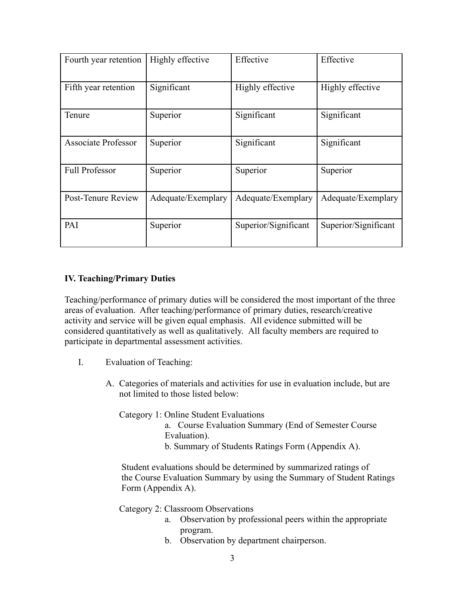| Fourth year retention      | Highly effective   | Effective            | Effective            |
|----------------------------|--------------------|----------------------|----------------------|
| Fifth year retention       | Significant        | Highly effective     | Highly effective     |
| Tenure                     | Superior           | Significant          | Significant          |
| <b>Associate Professor</b> | Superior           | Significant          | Significant          |
| <b>Full Professor</b>      | Superior           | Superior             | Superior             |
| Post-Tenure Review         | Adequate/Exemplary | Adequate/Exemplary   | Adequate/Exemplary   |
| PAI                        | Superior           | Superior/Significant | Superior/Significant |

### **IV. Teaching/Primary Duties**

Teaching/performance of primary duties will be considered the most important of the three areas of evaluation. After teaching/performance of primary duties, research/creative activity and service will be given equal emphasis. All evidence submitted will be considered quantitatively as well as qualitatively. All faculty members are required to participate in departmental assessment activities.

- I. Evaluation of Teaching:
	- A. Categories of materials and activities for use in evaluation include, but are not limited to those listed below:

Category 1: Online Student Evaluations a. Course Evaluation Summary (End of Semester Course Evaluation). b. Summary of Students Ratings Form (Appendix A).

Student evaluations should be determined by summarized ratings of the Course Evaluation Summary by using the Summary of Student Ratings Form (Appendix A).

Category 2: Classroom Observations

- a. Observation by professional peers within the appropriate program.
- b. Observation by department chairperson.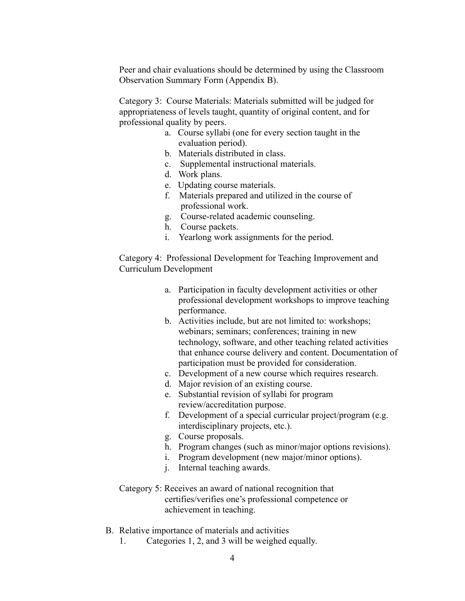Peer and chair evaluations should be determined by using the Classroom Observation Summary Form (Appendix B).

Category 3: Course Materials: Materials submitted will be judged for appropriateness of levels taught, quantity of original content, and for professional quality by peers.

- a. Course syllabi (one for every section taught in the evaluation period).
- b. Materials distributed in class.
- c. Supplemental instructional materials.
- d. Work plans.
- e. Updating course materials.
- f. Materials prepared and utilized in the course of professional work.
- g. Course-related academic counseling.
- h. Course packets.
- i. Yearlong work assignments for the period.

Category 4: Professional Development for Teaching Improvement and Curriculum Development

- a. Participation in faculty development activities or other professional development workshops to improve teaching performance.
- b. Activities include, but are not limited to: workshops; webinars; seminars; conferences; training in new technology, software, and other teaching related activities that enhance course delivery and content. Documentation of participation must be provided for consideration.
- c. Development of a new course which requires research.
- d. Major revision of an existing course.
- e. Substantial revision of syllabi for program review/accreditation purpose.
- f. Development of a special curricular project/program (e.g. interdisciplinary projects, etc.).
- g. Course proposals.
- h. Program changes (such as minor/major options revisions).
- i. Program development (new major/minor options).
- j. Internal teaching awards.
- Category 5: Receives an award of national recognition that certifies/verifies one's professional competence or achievement in teaching.
- B. Relative importance of materials and activities
	- 1. Categories 1, 2, and 3 will be weighed equally.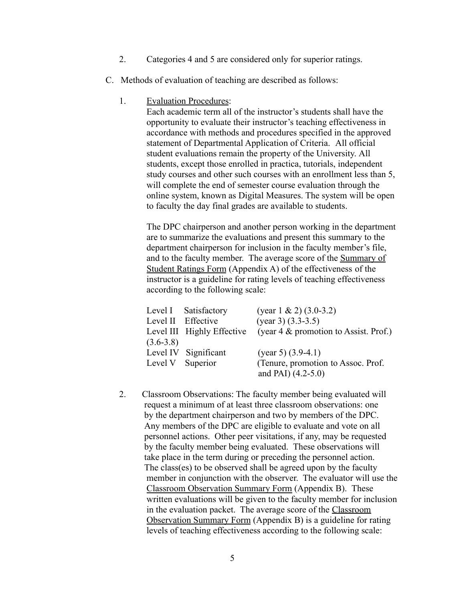- 2. Categories 4 and 5 are considered only for superior ratings.
- C. Methods of evaluation of teaching are described as follows:
	- 1. Evaluation Procedures:

Each academic term all of the instructor's students shall have the opportunity to evaluate their instructor's teaching effectiveness in accordance with methods and procedures specified in the approved statement of Departmental Application of Criteria. All official student evaluations remain the property of the University. All students, except those enrolled in practica, tutorials, independent study courses and other such courses with an enrollment less than 5, will complete the end of semester course evaluation through the online system, known as Digital Measures. The system will be open to faculty the day final grades are available to students.

The DPC chairperson and another person working in the department are to summarize the evaluations and present this summary to the department chairperson for inclusion in the faculty member's file, and to the faculty member. The average score of the Summary of Student Ratings Form (Appendix A) of the effectiveness of the instructor is a guideline for rating levels of teaching effectiveness according to the following scale:

|               | Level I Satisfactory       | (year $1 \& 2$ ) (3.0-3.2)               |
|---------------|----------------------------|------------------------------------------|
|               | Level II Effective         | $(year 3) (3.3-3.5)$                     |
|               | Level III Highly Effective | (year $4 \&$ promotion to Assist. Prof.) |
| $(3.6 - 3.8)$ |                            |                                          |
|               | Level IV Significant       | (year 5) $(3.9-4.1)$                     |
|               | Level V Superior           | (Tenure, promotion to Assoc. Prof.)      |
|               |                            | and PAI) $(4.2-5.0)$                     |

2. Classroom Observations: The faculty member being evaluated will request a minimum of at least three classroom observations: one by the department chairperson and two by members of the DPC. Any members of the DPC are eligible to evaluate and vote on all personnel actions. Other peer visitations, if any, may be requested by the faculty member being evaluated. These observations will take place in the term during or preceding the personnel action. The class(es) to be observed shall be agreed upon by the faculty member in conjunction with the observer. The evaluator will use the Classroom Observation Summary Form (Appendix B). These written evaluations will be given to the faculty member for inclusion in the evaluation packet. The average score of the Classroom Observation Summary Form (Appendix B) is a guideline for rating levels of teaching effectiveness according to the following scale: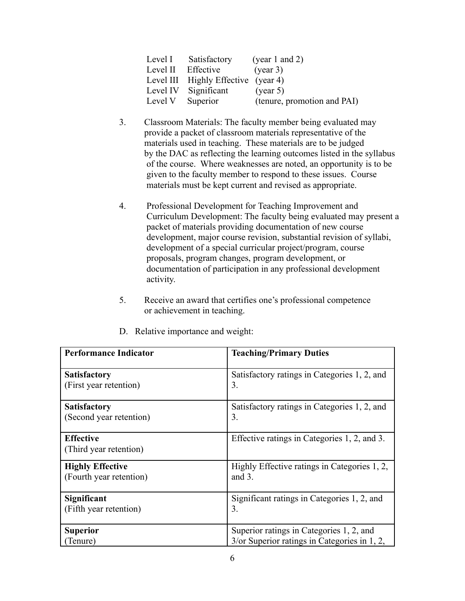| Level I          | Satisfactory                        | (year 1 and 2)              |
|------------------|-------------------------------------|-----------------------------|
|                  | Level II Effective                  | (year 3)                    |
|                  | Level III Highly Effective (year 4) |                             |
|                  | Level IV Significant                | (year 5)                    |
| Level V Superior |                                     | (tenure, promotion and PAI) |

- 3. Classroom Materials: The faculty member being evaluated may provide a packet of classroom materials representative of the materials used in teaching. These materials are to be judged by the DAC as reflecting the learning outcomes listed in the syllabus of the course. Where weaknesses are noted, an opportunity is to be given to the faculty member to respond to these issues. Course materials must be kept current and revised as appropriate.
- 4. Professional Development for Teaching Improvement and Curriculum Development: The faculty being evaluated may present a packet of materials providing documentation of new course development, major course revision, substantial revision of syllabi, development of a special curricular project/program, course proposals, program changes, program development, or documentation of participation in any professional development activity.
- 5. Receive an award that certifies one's professional competence or achievement in teaching.

| <b>Performance Indicator</b>               | <b>Teaching/Primary Duties</b>                  |
|--------------------------------------------|-------------------------------------------------|
| <b>Satisfactory</b>                        | Satisfactory ratings in Categories 1, 2, and    |
| (First year retention)                     | 3.                                              |
| <b>Satisfactory</b>                        | Satisfactory ratings in Categories 1, 2, and    |
| (Second year retention)                    | 3.                                              |
| <b>Effective</b><br>(Third year retention) | Effective ratings in Categories 1, 2, and 3.    |
| <b>Highly Effective</b>                    | Highly Effective ratings in Categories 1, 2,    |
| (Fourth year retention)                    | and $3$ .                                       |
| Significant                                | Significant ratings in Categories 1, 2, and     |
| (Fifth year retention)                     | 3.                                              |
| <b>Superior</b>                            | Superior ratings in Categories 1, 2, and        |
| Tenure)                                    | $3$ /or Superior ratings in Categories in 1, 2, |

D. Relative importance and weight: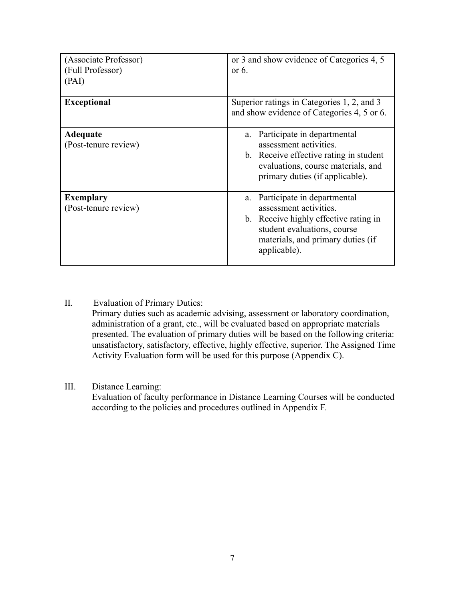| (Associate Professor)<br>(Full Professor)<br>(PAI) | or 3 and show evidence of Categories 4, 5<br>or $6$ .                                                                                                                                    |
|----------------------------------------------------|------------------------------------------------------------------------------------------------------------------------------------------------------------------------------------------|
| <b>Exceptional</b>                                 | Superior ratings in Categories 1, 2, and 3<br>and show evidence of Categories 4, 5 or 6.                                                                                                 |
| Adequate<br>(Post-tenure review)                   | Participate in departmental<br>a.<br>assessment activities.<br>b. Receive effective rating in student<br>evaluations, course materials, and<br>primary duties (if applicable).           |
| <b>Exemplary</b><br>(Post-tenure review)           | Participate in departmental<br>a.<br>assessment activities.<br>b. Receive highly effective rating in<br>student evaluations, course<br>materials, and primary duties (if<br>applicable). |

II. Evaluation of Primary Duties:

Primary duties such as academic advising, assessment or laboratory coordination, administration of a grant, etc., will be evaluated based on appropriate materials presented. The evaluation of primary duties will be based on the following criteria: unsatisfactory, satisfactory, effective, highly effective, superior. The Assigned Time Activity Evaluation form will be used for this purpose (Appendix C).

# III. Distance Learning:

Evaluation of faculty performance in Distance Learning Courses will be conducted according to the policies and procedures outlined in Appendix F.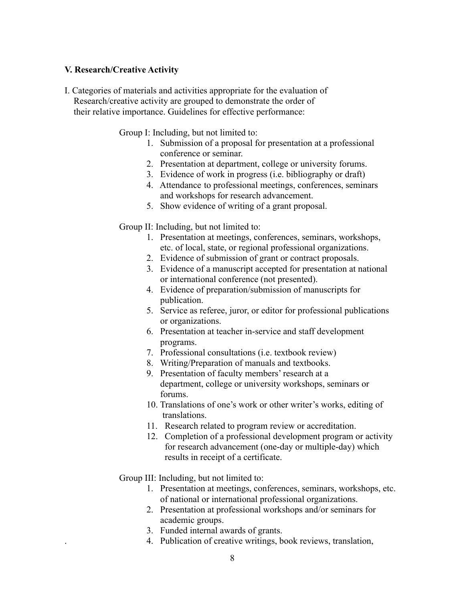#### **V. Research/Creative Activity**

I. Categories of materials and activities appropriate for the evaluation of Research/creative activity are grouped to demonstrate the order of their relative importance. Guidelines for effective performance:

Group I: Including, but not limited to:

- 1. Submission of a proposal for presentation at a professional conference or seminar.
- 2. Presentation at department, college or university forums.
- 3. Evidence of work in progress (i.e. bibliography or draft)
- 4. Attendance to professional meetings, conferences, seminars and workshops for research advancement.
- 5. Show evidence of writing of a grant proposal.

Group II: Including, but not limited to:

- 1. Presentation at meetings, conferences, seminars, workshops, etc. of local, state, or regional professional organizations.
- 2. Evidence of submission of grant or contract proposals.
- 3. Evidence of a manuscript accepted for presentation at national or international conference (not presented).
- 4. Evidence of preparation/submission of manuscripts for publication.
- 5. Service as referee, juror, or editor for professional publications or organizations.
- 6. Presentation at teacher in-service and staff development programs.
- 7. Professional consultations (i.e. textbook review)
- 8. Writing/Preparation of manuals and textbooks.
- 9. Presentation of faculty members' research at a department, college or university workshops, seminars or forums.
- 10. Translations of one's work or other writer's works, editing of translations.
- 11. Research related to program review or accreditation.
- 12. Completion of a professional development program or activity for research advancement (one-day or multiple-day) which results in receipt of a certificate.

Group III: Including, but not limited to:

- 1. Presentation at meetings, conferences, seminars, workshops, etc. of national or international professional organizations.
- 2. Presentation at professional workshops and/or seminars for academic groups.
- 3. Funded internal awards of grants.
- . 4. Publication of creative writings, book reviews, translation,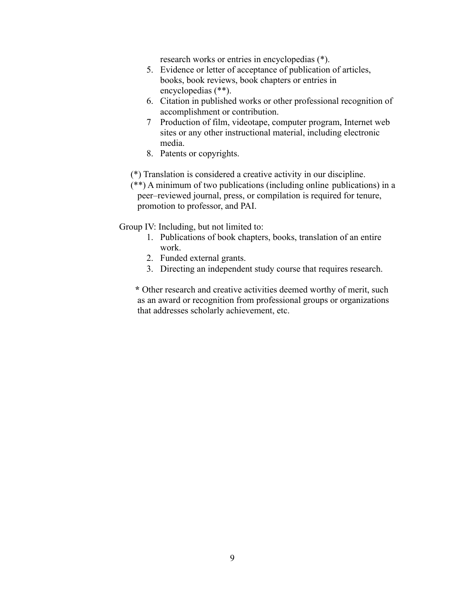research works or entries in encyclopedias (\*).

- 5. Evidence or letter of acceptance of publication of articles, books, book reviews, book chapters or entries in encyclopedias (\*\*).
- 6. Citation in published works or other professional recognition of accomplishment or contribution.
- 7 Production of film, videotape, computer program, Internet web sites or any other instructional material, including electronic media.
- 8. Patents or copyrights.

(\*) Translation is considered a creative activity in our discipline.

(\*\*) A minimum of two publications (including online publications) in a peer–reviewed journal, press, or compilation is required for tenure, promotion to professor, and PAI.

Group IV: Including, but not limited to:

- 1. Publications of book chapters, books, translation of an entire work.
- 2. Funded external grants.
- 3. Directing an independent study course that requires research.

**\*** Other research and creative activities deemed worthy of merit, such as an award or recognition from professional groups or organizations that addresses scholarly achievement, etc.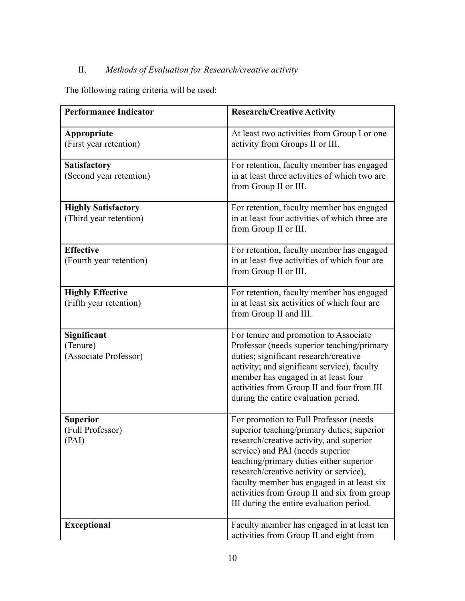# II. *Methods of Evaluation for Research/creative activity*

The following rating criteria will be used:

| <b>Performance Indicator</b>                         | <b>Research/Creative Activity</b>                                                                                                                                                                                                                                                                                                                                                                   |
|------------------------------------------------------|-----------------------------------------------------------------------------------------------------------------------------------------------------------------------------------------------------------------------------------------------------------------------------------------------------------------------------------------------------------------------------------------------------|
| Appropriate<br>(First year retention)                | At least two activities from Group I or one<br>activity from Groups II or III.                                                                                                                                                                                                                                                                                                                      |
| <b>Satisfactory</b><br>(Second year retention)       | For retention, faculty member has engaged<br>in at least three activities of which two are<br>from Group II or III.                                                                                                                                                                                                                                                                                 |
| <b>Highly Satisfactory</b><br>(Third year retention) | For retention, faculty member has engaged<br>in at least four activities of which three are<br>from Group II or III.                                                                                                                                                                                                                                                                                |
| <b>Effective</b><br>(Fourth year retention)          | For retention, faculty member has engaged<br>in at least five activities of which four are<br>from Group II or III.                                                                                                                                                                                                                                                                                 |
| <b>Highly Effective</b><br>(Fifth year retention)    | For retention, faculty member has engaged<br>in at least six activities of which four are<br>from Group II and III.                                                                                                                                                                                                                                                                                 |
| Significant<br>(Tenure)<br>(Associate Professor)     | For tenure and promotion to Associate<br>Professor (needs superior teaching/primary<br>duties; significant research/creative<br>activity; and significant service), faculty<br>member has engaged in at least four<br>activities from Group II and four from III<br>during the entire evaluation period.                                                                                            |
| <b>Superior</b><br>(Full Professor)<br>(PAI)         | For promotion to Full Professor (needs<br>superior teaching/primary duties; superior<br>research/creative activity, and superior<br>service) and PAI (needs superior<br>teaching/primary duties either superior<br>research/creative activity or service),<br>faculty member has engaged in at least six<br>activities from Group II and six from group<br>III during the entire evaluation period. |
| <b>Exceptional</b>                                   | Faculty member has engaged in at least ten<br>activities from Group II and eight from                                                                                                                                                                                                                                                                                                               |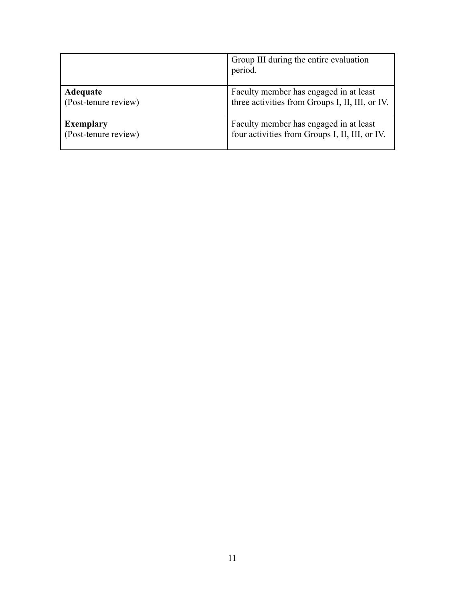|                      | Group III during the entire evaluation<br>period. |
|----------------------|---------------------------------------------------|
| Adequate             | Faculty member has engaged in at least            |
| (Post-tenure review) | three activities from Groups I, II, III, or IV.   |
| <b>Exemplary</b>     | Faculty member has engaged in at least            |
| (Post-tenure review) | four activities from Groups I, II, III, or IV.    |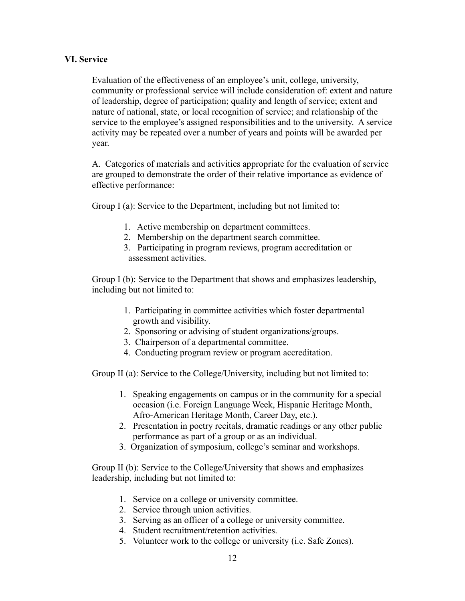### **VI. Service**

Evaluation of the effectiveness of an employee's unit, college, university, community or professional service will include consideration of: extent and nature of leadership, degree of participation; quality and length of service; extent and nature of national, state, or local recognition of service; and relationship of the service to the employee's assigned responsibilities and to the university. A service activity may be repeated over a number of years and points will be awarded per year.

A. Categories of materials and activities appropriate for the evaluation of service are grouped to demonstrate the order of their relative importance as evidence of effective performance:

Group I (a): Service to the Department, including but not limited to:

- 1. Active membership on department committees.
- 2. Membership on the department search committee.
- 3. Participating in program reviews, program accreditation or assessment activities.

Group I (b): Service to the Department that shows and emphasizes leadership, including but not limited to:

- 1. Participating in committee activities which foster departmental growth and visibility.
- 2. Sponsoring or advising of student organizations/groups.
- 3. Chairperson of a departmental committee.
- 4. Conducting program review or program accreditation.

Group II (a): Service to the College/University, including but not limited to:

- 1. Speaking engagements on campus or in the community for a special occasion (i.e. Foreign Language Week, Hispanic Heritage Month, Afro-American Heritage Month, Career Day, etc.).
- 2. Presentation in poetry recitals, dramatic readings or any other public performance as part of a group or as an individual.
- 3. Organization of symposium, college's seminar and workshops.

Group II (b): Service to the College/University that shows and emphasizes leadership, including but not limited to:

- 1. Service on a college or university committee.
- 2. Service through union activities.
- 3. Serving as an officer of a college or university committee.
- 4. Student recruitment/retention activities.
- 5. Volunteer work to the college or university (i.e. Safe Zones).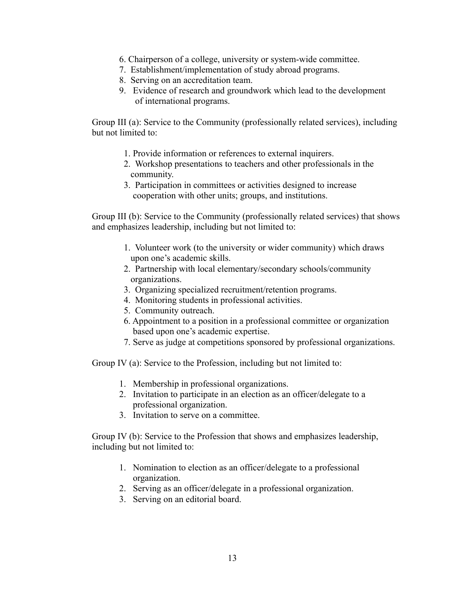- 6. Chairperson of a college, university or system-wide committee.
- 7. Establishment/implementation of study abroad programs.
- 8. Serving on an accreditation team.
- 9. Evidence of research and groundwork which lead to the development of international programs.

Group III (a): Service to the Community (professionally related services), including but not limited to:

- 1. Provide information or references to external inquirers.
- 2. Workshop presentations to teachers and other professionals in the community.
- 3. Participation in committees or activities designed to increase cooperation with other units; groups, and institutions.

Group III (b): Service to the Community (professionally related services) that shows and emphasizes leadership, including but not limited to:

- 1. Volunteer work (to the university or wider community) which draws upon one's academic skills.
- 2. Partnership with local elementary/secondary schools/community organizations.
- 3. Organizing specialized recruitment/retention programs.
- 4. Monitoring students in professional activities.
- 5. Community outreach.
- 6. Appointment to a position in a professional committee or organization based upon one's academic expertise.
- 7. Serve as judge at competitions sponsored by professional organizations.

Group IV (a): Service to the Profession, including but not limited to:

- 1. Membership in professional organizations.
- 2. Invitation to participate in an election as an officer/delegate to a professional organization.
- 3. Invitation to serve on a committee.

Group IV (b): Service to the Profession that shows and emphasizes leadership, including but not limited to:

- 1. Nomination to election as an officer/delegate to a professional organization.
- 2. Serving as an officer/delegate in a professional organization.
- 3. Serving on an editorial board.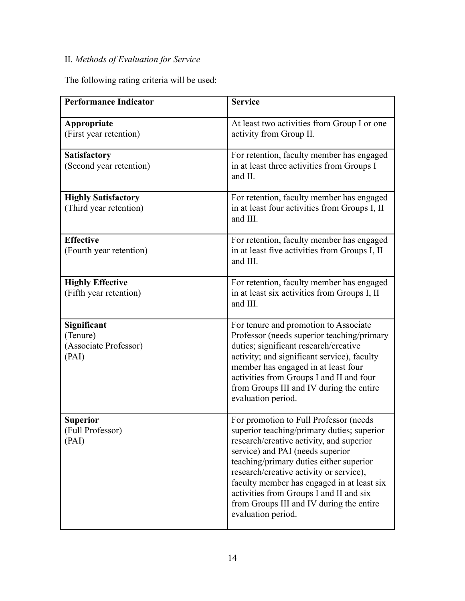# II. *Methods of Evaluation for Service*

The following rating criteria will be used:

| <b>Performance Indicator</b>                              | <b>Service</b>                                                                                                                                                                                                                                                                                                                                                                                                        |
|-----------------------------------------------------------|-----------------------------------------------------------------------------------------------------------------------------------------------------------------------------------------------------------------------------------------------------------------------------------------------------------------------------------------------------------------------------------------------------------------------|
| Appropriate<br>(First year retention)                     | At least two activities from Group I or one<br>activity from Group II.                                                                                                                                                                                                                                                                                                                                                |
| <b>Satisfactory</b><br>(Second year retention)            | For retention, faculty member has engaged<br>in at least three activities from Groups I<br>and II.                                                                                                                                                                                                                                                                                                                    |
| <b>Highly Satisfactory</b><br>(Third year retention)      | For retention, faculty member has engaged<br>in at least four activities from Groups I, II<br>and III.                                                                                                                                                                                                                                                                                                                |
| <b>Effective</b><br>(Fourth year retention)               | For retention, faculty member has engaged<br>in at least five activities from Groups I, II<br>and III.                                                                                                                                                                                                                                                                                                                |
| <b>Highly Effective</b><br>(Fifth year retention)         | For retention, faculty member has engaged<br>in at least six activities from Groups I, II<br>and III.                                                                                                                                                                                                                                                                                                                 |
| Significant<br>(Tenure)<br>(Associate Professor)<br>(PAI) | For tenure and promotion to Associate<br>Professor (needs superior teaching/primary<br>duties; significant research/creative<br>activity; and significant service), faculty<br>member has engaged in at least four<br>activities from Groups I and II and four<br>from Groups III and IV during the entire<br>evaluation period.                                                                                      |
| <b>Superior</b><br>(Full Professor)<br>(PAI)              | For promotion to Full Professor (needs<br>superior teaching/primary duties; superior<br>research/creative activity, and superior<br>service) and PAI (needs superior<br>teaching/primary duties either superior<br>research/creative activity or service),<br>faculty member has engaged in at least six<br>activities from Groups I and II and six<br>from Groups III and IV during the entire<br>evaluation period. |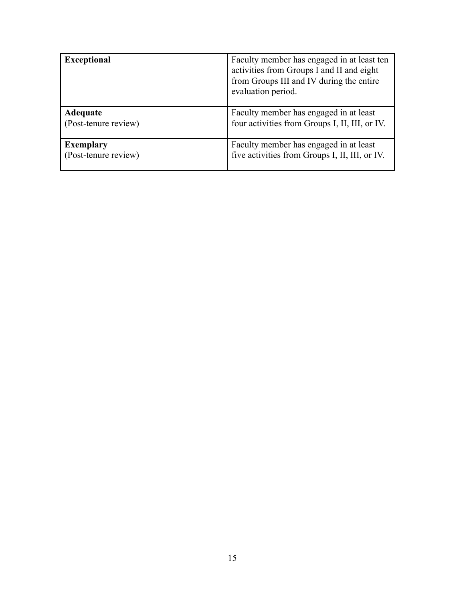| <b>Exceptional</b>   | Faculty member has engaged in at least ten<br>activities from Groups I and II and eight<br>from Groups III and IV during the entire<br>evaluation period. |
|----------------------|-----------------------------------------------------------------------------------------------------------------------------------------------------------|
| Adequate             | Faculty member has engaged in at least                                                                                                                    |
| (Post-tenure review) | four activities from Groups I, II, III, or IV.                                                                                                            |
| <b>Exemplary</b>     | Faculty member has engaged in at least                                                                                                                    |
| (Post-tenure review) | five activities from Groups I, II, III, or IV.                                                                                                            |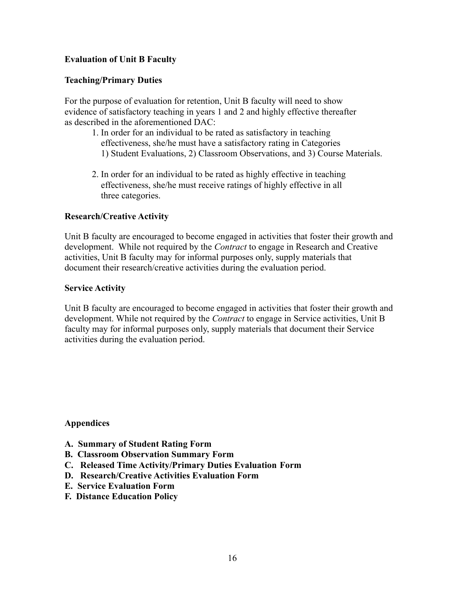# **Evaluation of Unit B Faculty**

### **Teaching/Primary Duties**

For the purpose of evaluation for retention, Unit B faculty will need to show evidence of satisfactory teaching in years 1 and 2 and highly effective thereafter as described in the aforementioned DAC:

- 1. In order for an individual to be rated as satisfactory in teaching effectiveness, she/he must have a satisfactory rating in Categories 1) Student Evaluations, 2) Classroom Observations, and 3) Course Materials.
- 2. In order for an individual to be rated as highly effective in teaching effectiveness, she/he must receive ratings of highly effective in all three categories.

#### **Research/Creative Activity**

Unit B faculty are encouraged to become engaged in activities that foster their growth and development. While not required by the *Contract* to engage in Research and Creative activities, Unit B faculty may for informal purposes only, supply materials that document their research/creative activities during the evaluation period.

#### **Service Activity**

Unit B faculty are encouraged to become engaged in activities that foster their growth and development. While not required by the *Contract* to engage in Service activities, Unit B faculty may for informal purposes only, supply materials that document their Service activities during the evaluation period.

**Appendices**

- **A. Summary of Student Rating Form**
- **B. Classroom Observation Summary Form**
- **C. Released Time Activity/Primary Duties Evaluation Form**
- **D. Research/Creative Activities Evaluation Form**
- **E. Service Evaluation Form**
- **F. Distance Education Policy**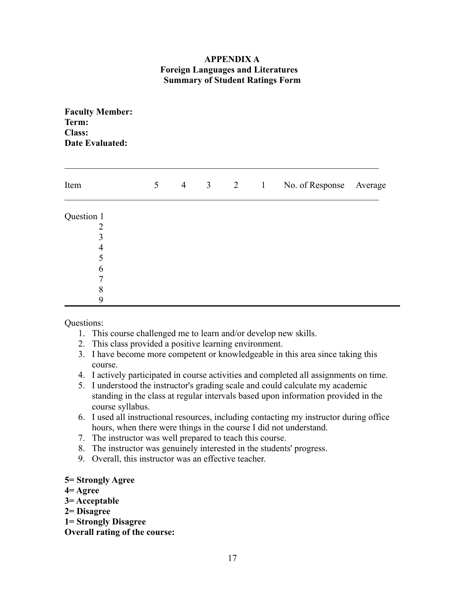# **APPENDIX A Foreign Languages and Literatures Summary of Student Ratings Form**

| <b>Faculty Member:</b><br>Term:<br><b>Class:</b><br><b>Date Evaluated:</b> |   |  |                             |                         |  |
|----------------------------------------------------------------------------|---|--|-----------------------------|-------------------------|--|
| Item                                                                       | 5 |  | $4 \quad 3 \quad 2 \quad 1$ | No. of Response Average |  |
| Question 1                                                                 |   |  |                             |                         |  |
| $\overline{2}$                                                             |   |  |                             |                         |  |
| 3                                                                          |   |  |                             |                         |  |
| $\overline{4}$                                                             |   |  |                             |                         |  |
| 5                                                                          |   |  |                             |                         |  |
| 6                                                                          |   |  |                             |                         |  |
| $\overline{7}$                                                             |   |  |                             |                         |  |
| 8                                                                          |   |  |                             |                         |  |
| 9                                                                          |   |  |                             |                         |  |

Questions:

- 1. This course challenged me to learn and/or develop new skills.
- 2. This class provided a positive learning environment.
- 3. I have become more competent or knowledgeable in this area since taking this course.
- 4. I actively participated in course activities and completed all assignments on time.
- 5. I understood the instructor's grading scale and could calculate my academic standing in the class at regular intervals based upon information provided in the course syllabus.
- 6. I used all instructional resources, including contacting my instructor during office hours, when there were things in the course I did not understand.
- 7. The instructor was well prepared to teach this course.
- 8. The instructor was genuinely interested in the students' progress.
- 9. Overall, this instructor was an effective teacher.

#### **5= Strongly Agree**

- **4= Agree**
- **3= Acceptable**
- **2= Disagree**
- **1= Strongly Disagree**

**Overall rating of the course:**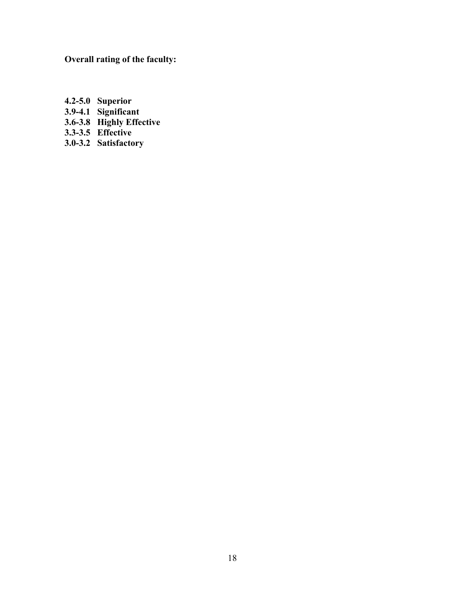**Overall rating of the faculty:**

- **4.2-5.0 Superior 3.9-4.1 Significant**
- **3.6-3.8 Highly Effective**
- **3.3-3.5 Effective**
- **3.0-3.2 Satisfactory**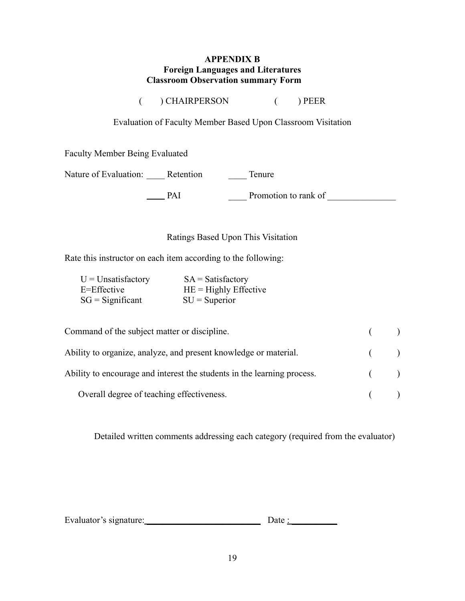### **APPENDIX B Foreign Languages and Literatures Classroom Observation summary Form**

( ) CHAIRPERSON ( ) PEER

Evaluation of Faculty Member Based Upon Classroom Visitation

Faculty Member Being Evaluated

Nature of Evaluation: \_\_\_\_\_ Retention \_\_\_\_\_\_ Tenure

PAI \_\_\_\_ Promotion to rank of \_\_\_\_\_\_\_\_\_\_\_\_\_\_\_

# Ratings Based Upon This Visitation

Rate this instructor on each item according to the following:

| $U =$ Unsatisfactory | $SA = Satisfactory$     |
|----------------------|-------------------------|
| E=Effective          | $HE =$ Highly Effective |
| $SG = Significant$   | $SU =$ Superior         |

| Command of the subject matter or discipline.                            | $($ ) |  |
|-------------------------------------------------------------------------|-------|--|
| Ability to organize, analyze, and present knowledge or material.        | $($ ) |  |
| Ability to encourage and interest the students in the learning process. | $($ ) |  |
| Overall degree of teaching effectiveness.                               | $($ ) |  |

Detailed written comments addressing each category (required from the evaluator)

| Evaluator's signature: | Date |
|------------------------|------|
|                        |      |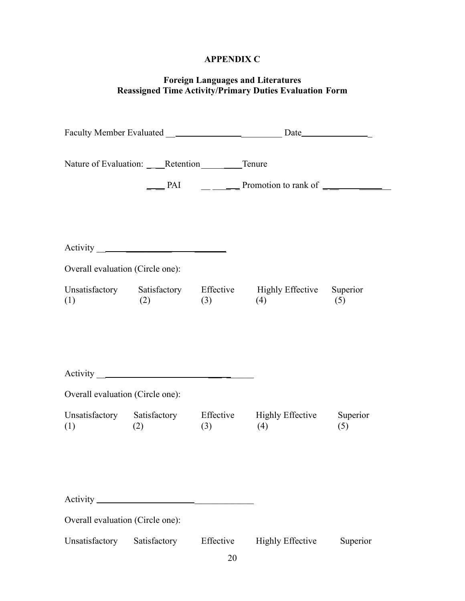# **APPENDIX C**

### **Foreign Languages and Literatures Reassigned Time Activity/Primary Duties Evaluation Form**

|                                  |                 |           | $\frac{1}{\sqrt{1-\frac{1}{1-\frac{1}{1-\frac{1}{1-\frac{1}{1-\frac{1}{1-\frac{1}{1-\frac{1}{1-\frac{1}{1-\frac{1}{1-\frac{1}{1-\frac{1}{1-\frac{1}{1-\frac{1}{1-\frac{1}{1-\frac{1}{1-\frac{1}{1-\frac{1}{1-\frac{1}{1-\frac{1}{1-\frac{1}{1-\frac{1}{1-\frac{1}{1-\frac{1}{1-\frac{1}{1-\frac{1}{1-\frac{1}{1-\frac{1}{1-\frac{1}{1-\frac{1}{1-\frac{1}{1-\frac{1}{1-\frac{1}{1-\frac{1}{1-\frac{1}{1-\frac{1}{1-\$ |          |
|----------------------------------|-----------------|-----------|-----------------------------------------------------------------------------------------------------------------------------------------------------------------------------------------------------------------------------------------------------------------------------------------------------------------------------------------------------------------------------------------------------------------------|----------|
| Overall evaluation (Circle one): |                 |           |                                                                                                                                                                                                                                                                                                                                                                                                                       |          |
| (1)                              |                 |           | Unsatisfactory Satisfactory Effective Highly Effective Superior<br>$(2)$ $(3)$ $(4)$                                                                                                                                                                                                                                                                                                                                  | (5)      |
|                                  | $Activity \_\_$ |           |                                                                                                                                                                                                                                                                                                                                                                                                                       |          |
| Overall evaluation (Circle one): |                 |           |                                                                                                                                                                                                                                                                                                                                                                                                                       |          |
| (1)                              | (2)             |           | Unsatisfactory Satisfactory Effective Highly Effective Superior<br>$(3)$ $(4)$                                                                                                                                                                                                                                                                                                                                        | (5)      |
|                                  |                 |           |                                                                                                                                                                                                                                                                                                                                                                                                                       |          |
| Overall evaluation (Circle one): |                 |           |                                                                                                                                                                                                                                                                                                                                                                                                                       |          |
| Unsatisfactory                   | Satisfactory    | Effective | <b>Highly Effective</b>                                                                                                                                                                                                                                                                                                                                                                                               | Superior |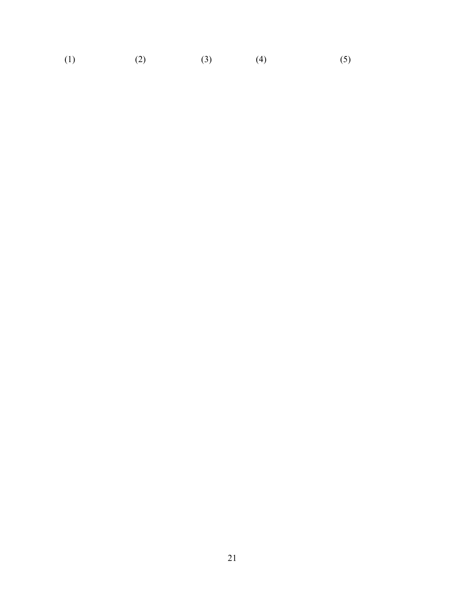(1)  $(2)$   $(3)$   $(4)$   $(5)$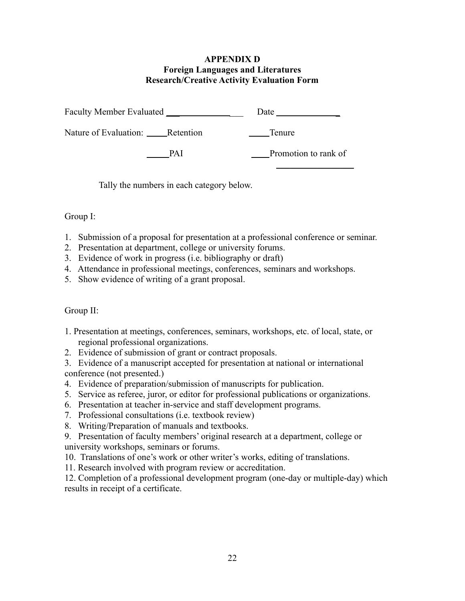# **APPENDIX D Foreign Languages and Literatures Research/Creative Activity Evaluation Form**

| Faculty Member Evaluated        |      | Date                 |
|---------------------------------|------|----------------------|
| Nature of Evaluation: Retention |      | Tenure               |
|                                 | PA I | Promotion to rank of |

Tally the numbers in each category below.

# Group I:

- 1. Submission of a proposal for presentation at a professional conference or seminar.
- 2. Presentation at department, college or university forums.
- 3. Evidence of work in progress (i.e. bibliography or draft)
- 4. Attendance in professional meetings, conferences, seminars and workshops.
- 5. Show evidence of writing of a grant proposal.

# Group II:

- 1. Presentation at meetings, conferences, seminars, workshops, etc. of local, state, or regional professional organizations.
- 2. Evidence of submission of grant or contract proposals.
- 3. Evidence of a manuscript accepted for presentation at national or international conference (not presented.)
- 4. Evidence of preparation/submission of manuscripts for publication.
- 5. Service as referee, juror, or editor for professional publications or organizations.
- 6. Presentation at teacher in-service and staff development programs.
- 7. Professional consultations (i.e. textbook review)
- 8. Writing/Preparation of manuals and textbooks.
- 9. Presentation of faculty members' original research at a department, college or university workshops, seminars or forums.
- 10. Translations of one's work or other writer's works, editing of translations.
- 11. Research involved with program review or accreditation.

12. Completion of a professional development program (one-day or multiple-day) which results in receipt of a certificate.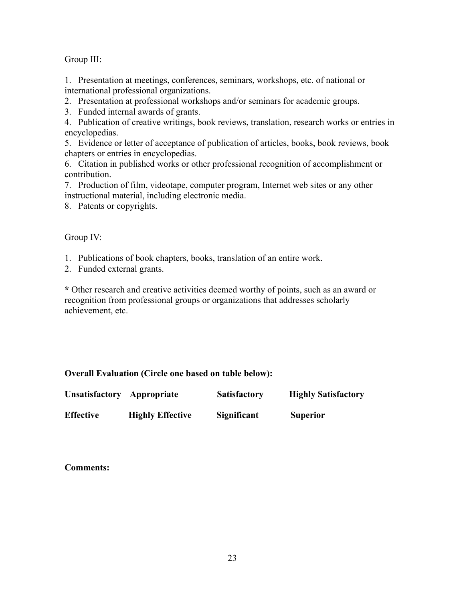# Group III:

1. Presentation at meetings, conferences, seminars, workshops, etc. of national or international professional organizations.

2. Presentation at professional workshops and/or seminars for academic groups.

3. Funded internal awards of grants.

4. Publication of creative writings, book reviews, translation, research works or entries in encyclopedias.

5. Evidence or letter of acceptance of publication of articles, books, book reviews, book chapters or entries in encyclopedias.

6. Citation in published works or other professional recognition of accomplishment or contribution.

7. Production of film, videotape, computer program, Internet web sites or any other instructional material, including electronic media.

8. Patents or copyrights.

# Group IV:

1. Publications of book chapters, books, translation of an entire work.

2. Funded external grants.

**\*** Other research and creative activities deemed worthy of points, such as an award or recognition from professional groups or organizations that addresses scholarly achievement, etc.

# **Overall Evaluation (Circle one based on table below):**

| Unsatisfactory Appropriate |                         | <b>Satisfactory</b> | <b>Highly Satisfactory</b> |
|----------------------------|-------------------------|---------------------|----------------------------|
| <b>Effective</b>           | <b>Highly Effective</b> | Significant         | <b>Superior</b>            |

**Comments:**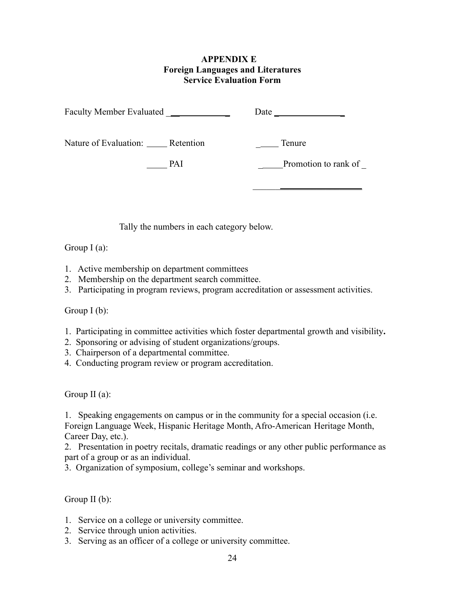### **APPENDIX E Foreign Languages and Literatures Service Evaluation Form**

|                                        |     | Date                 |
|----------------------------------------|-----|----------------------|
| Nature of Evaluation: ______ Retention |     | Tenure               |
|                                        | PAI | Promotion to rank of |
|                                        |     |                      |

Tally the numbers in each category below.

# Group  $I(a)$ :

- 1. Active membership on department committees
- 2. Membership on the department search committee.
- 3. Participating in program reviews, program accreditation or assessment activities.

# Group  $I(b)$ :

- 1. Participating in committee activities which foster departmental growth and visibility**.**
- 2. Sponsoring or advising of student organizations/groups.
- 3. Chairperson of a departmental committee.
- 4. Conducting program review or program accreditation.

Group II (a):

1. Speaking engagements on campus or in the community for a special occasion (i.e. Foreign Language Week, Hispanic Heritage Month, Afro-American Heritage Month, Career Day, etc.).

2. Presentation in poetry recitals, dramatic readings or any other public performance as part of a group or as an individual.

3. Organization of symposium, college's seminar and workshops.

Group II (b):

- 1. Service on a college or university committee.
- 2. Service through union activities.
- 3. Serving as an officer of a college or university committee.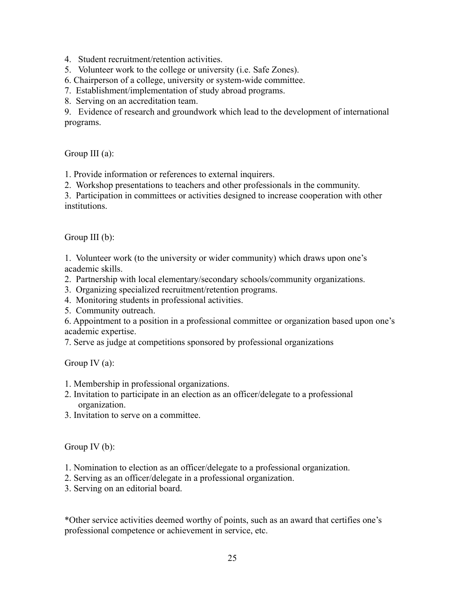4. Student recruitment/retention activities.

5. Volunteer work to the college or university (i.e. Safe Zones).

6. Chairperson of a college, university or system-wide committee.

7. Establishment/implementation of study abroad programs.

8. Serving on an accreditation team.

9. Evidence of research and groundwork which lead to the development of international programs.

Group III (a):

1. Provide information or references to external inquirers.

2. Workshop presentations to teachers and other professionals in the community.

3. Participation in committees or activities designed to increase cooperation with other institutions.

Group III (b):

1. Volunteer work (to the university or wider community) which draws upon one's academic skills.

- 2. Partnership with local elementary/secondary schools/community organizations.
- 3. Organizing specialized recruitment/retention programs.
- 4. Monitoring students in professional activities.
- 5. Community outreach.

6. Appointment to a position in a professional committee or organization based upon one's academic expertise.

7. Serve as judge at competitions sponsored by professional organizations

Group IV (a):

- 1. Membership in professional organizations.
- 2. Invitation to participate in an election as an officer/delegate to a professional organization.
- 3. Invitation to serve on a committee.

Group IV (b):

- 1. Nomination to election as an officer/delegate to a professional organization.
- 2. Serving as an officer/delegate in a professional organization.
- 3. Serving on an editorial board.

\*Other service activities deemed worthy of points, such as an award that certifies one's professional competence or achievement in service, etc.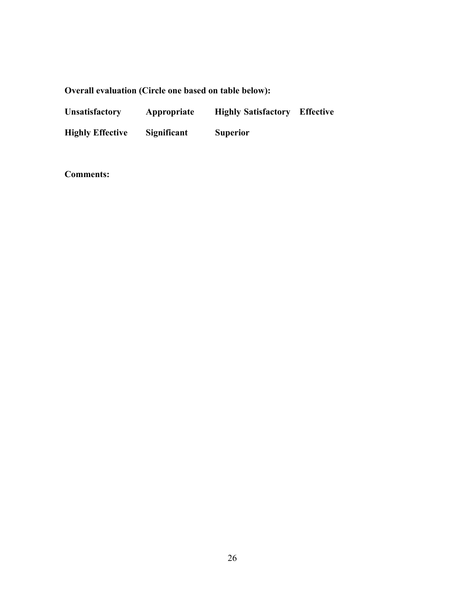# **Overall evaluation (Circle one based on table below):**

| <b>Unsatisfactory</b>   | Appropriate | <b>Highly Satisfactory</b> | <b>Effective</b> |
|-------------------------|-------------|----------------------------|------------------|
| <b>Highly Effective</b> | Significant | <b>Superior</b>            |                  |

**Comments:**